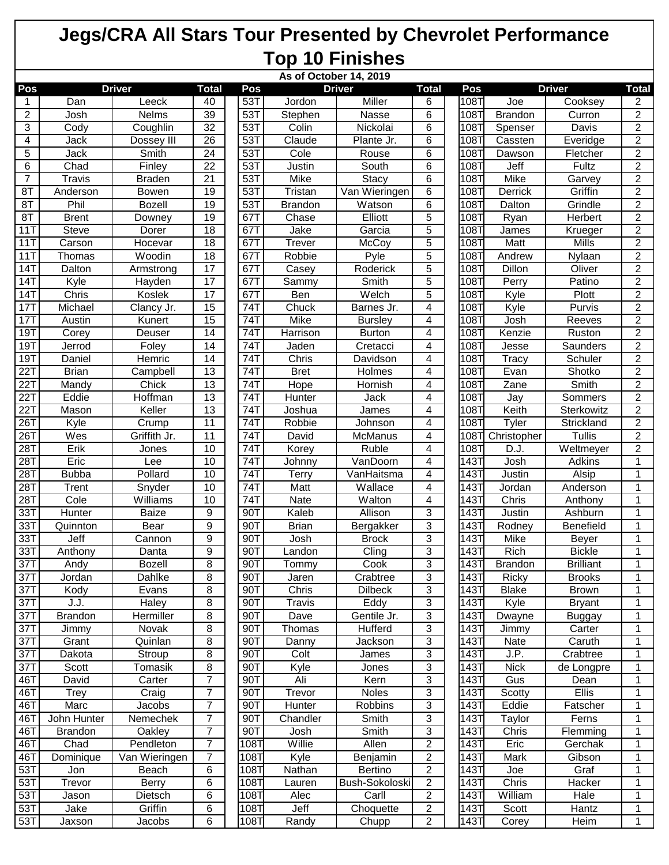|                   | As of October 14, 2019 |               |                 |                   |                |                      |                |                   |                      |                  |                |
|-------------------|------------------------|---------------|-----------------|-------------------|----------------|----------------------|----------------|-------------------|----------------------|------------------|----------------|
| Pos               |                        | <b>Driver</b> | <b>Total</b>    | Pos               |                | <b>Driver</b>        | <b>Total</b>   | Pos               |                      | <b>Driver</b>    | <b>Total</b>   |
| 1                 | Dan                    | Leeck         | 40              | 53T               | Jordon         | Miller               | 6              | 108T              | Joe                  | Cooksey          | 2              |
| $\overline{2}$    | Josh                   | Nelms         | 39              | 53T               | Stephen        | Nasse                | 6              | 108T              | <b>Brandon</b>       | Curron           | 2              |
| 3                 | Cody                   | Coughlin      | $\overline{32}$ | 53T               | Colin          | Nickolai             | 6              | 1087              | Spenser              | <b>Davis</b>     | 2              |
| 4                 | Jack                   | Dossey III    | 26              | 53T               | Claude         | Plante Jr.           | 6              | 108T              | Cassten              | Everidge         | 2              |
| 5                 | Jack                   | Smith         | $\overline{24}$ | 53T               | Cole           | Rouse                | 6              | 1087              | Dawson               | Fletcher         | 2              |
| 6                 | Chad                   | Finley        | $\overline{22}$ | 53T               | Justin         | South                | 6              | 108T              | Jeff                 | Fultz            | 2              |
| 7                 | <b>Travis</b>          | <b>Braden</b> | 21              | 53T               | Mike           | Stacy                | 6              | 108T              | Mike                 | Garvey           | $\overline{2}$ |
| 8T                | Anderson               | Bowen         | $\overline{19}$ | 53T               | Tristan        | Van Wieringen        | 6              | 108T              | Derrick              | Griffin          | $\overline{2}$ |
| 8T                | Phil                   | <b>Bozell</b> | 19              | 53T               | <b>Brandon</b> | Watson               | 6              | 108T              | Dalton               | Grindle          | 2              |
| 8T                | <b>Brent</b>           | Downey        | 19              | 67T               | Chase          | Elliott              | 5              | 108T              | Ryan                 | Herbert          | $\overline{2}$ |
| 11T               | <b>Steve</b>           | Dorer         | 18              | 67T               | Jake           | Garcia               | $\overline{5}$ | 108T              | James                | Krueger          | $\overline{2}$ |
| 11T               | Carson                 | Hocevar       | 18              | 67T               | Trever         | McCoy                | 5              | 108T              | Matt                 | <b>Mills</b>     | $\overline{2}$ |
| 11T               | Thomas                 | Woodin        | 18              | 67T               | Robbie         | Pyle                 | 5              | 108T              | Andrew               | Nylaan           | $\overline{2}$ |
| 14T               | Dalton                 | Armstrong     | $\overline{17}$ | 67T               | Casey          | Roderick             | 5              | 108T              | <b>Dillon</b>        | Oliver           | 2              |
| 14T               | Kyle                   | Hayden        | 17              | 67T               | Sammy          | Smith                | 5              | 108T              | Perry                | Patino           | 2              |
| 14T               | Chris                  | Koslek        | 17              | 67T               | Ben            | Welch                | 5              | 108T              | Kyle                 | Plott            | 2              |
| 17T               | Michael                | Clancy Jr.    | 15              | $\overline{74}$ T | Chuck          | Barnes Jr.           | 4              | 108T              | Kyle                 | Purvis           | $\overline{2}$ |
| 17T               | Austin                 | Kunert        | $\overline{15}$ | 74T               | Mike           | <b>Bursley</b>       | 4              | 108T              | Josh                 | Reeves           | 2              |
| 19T               | Corey                  | Deuser        | 14              | 74T               | Harrison       | <b>Burton</b>        | 4              | 108T              | Kenzie               | Ruston           | $\overline{2}$ |
| 19T               | Jerrod                 | Foley         | 14              | 74T               |                |                      |                | 108T              |                      | Saunders         | $\overline{2}$ |
| 19T               | Daniel                 | Hemric        | 14              | 74T               | Jaden<br>Chris | Cretacci<br>Davidson | 4<br>4         | 108T              | Jesse                | Schuler          | $\overline{2}$ |
| $\overline{22}$ T | <b>Brian</b>           | Campbell      | $\overline{13}$ | 74T               | <b>Bret</b>    | Holmes               | 4              | 108T              | <b>Tracy</b><br>Evan | Shotko           | $\overline{2}$ |
|                   |                        |               |                 |                   |                | Hornish              |                |                   |                      |                  |                |
| 22T               | Mandy                  | Chick         | 13              | 74T               | Hope           |                      | 4              | 1087              | Zane                 | Smith            | $\overline{2}$ |
| $\overline{22}$ T | Eddie                  | Hoffman       | 13              | 74T               | Hunter         | <b>Jack</b>          | 4              | 108T              | Jay                  | Sommers          | $\overline{2}$ |
| $\overline{22}$ T | Mason                  | Keller        | $\overline{13}$ | 74T               | Joshua         | James                | 4              | 108T              | Keith                | Sterkowitz       | 2              |
| 26T               | Kyle                   | Crump         | 11              | 74T               | Robbie         | Johnson              | 4              | 108T              | Tyler                | Strickland       | $\overline{c}$ |
| $\overline{26}$ T | Wes                    | Griffith Jr.  | 11              | 74T               | David          | <b>McManus</b>       | 4              | 108T              | Christopher          | <b>Tullis</b>    | 2              |
| $\overline{281}$  | Erik                   | Jones         | 10              | 74T               | Korey          | Ruble                | 4              | 108T              | D.J.                 | Weltmeyer        | 2              |
| 28T               | Eric                   | Lee           | 10              | 74T               | Johnny         | VanDoorn             | 4              | 143T              | Josh                 | Adkins           | 1              |
| $\overline{28T}$  | <b>Bubba</b>           | Pollard       | 10              | 74T               | Terry          | VanHaitsma           | 4              | 143T              | Justin               | Alsip            | 1              |
| 28T               | Trent                  | Snyder        | 10              | 74T               | Matt           | Wallace              | 4              | 143T              | Jordan               | Anderson         | 1              |
| 28T               | Cole                   | Williams      | 10              | 74T               | Nate           | Walton               | 4              | 143T              | Chris                | Anthony          | 1              |
| $\overline{33T}$  | Hunter                 | <b>Baize</b>  | 9               | 90T               | Kaleb          | Allison              | 3              | $\overline{1431}$ | Justin               | Ashburn          | 1              |
| 33T               | Quinnton               | Bear          | 9               | 90T               | <b>Brian</b>   | Bergakker            | 3              | 143T              | Rodney               | Benefield        | 1              |
| 33T               | Jeff                   | Cannon        | 9               | 90T               | Josh           | <b>Brock</b>         | 3              | 143T              | Mike                 | Beyer            | 1              |
| $\overline{33T}$  | Anthony                | Danta         | 9               | 90T               | Landon         | $\overline{C}$ ling  | 3              | 143T              | Rich                 | <b>Bickle</b>    | 1              |
| 37T               | Andy                   | <b>Bozell</b> | 8               | 90T               | Tommy          | Cook                 | 3              | 143T              | <b>Brandon</b>       | <b>Brilliant</b> |                |
| 37T               | Jordan                 | Dahlke        | 8               | 90T               | Jaren          | Crabtree             | 3              | 143T              | Ricky                | <b>Brooks</b>    | 1              |
| 37T               | Kody                   | Evans         | 8               | 90T               | Chris          | <b>Dilbeck</b>       | 3              | 143T              | <b>Blake</b>         | <b>Brown</b>     |                |
| 37T               | J.J.                   | Haley         | 8               | 90T               | <b>Travis</b>  | Eddy                 | 3              | 143T              | Kyle                 | <b>Bryant</b>    | 1              |
| 37T               | <b>Brandon</b>         | Hermiller     | 8               | 90T               | Dave           | Gentile Jr.          | 3              | 143T              | Dwayne               | <b>Buggay</b>    |                |
| 37T               | Jimmy                  | Novak         | 8               | 90T               | Thomas         | Hufferd              | 3              | 143T              | Jimmy                | Carter           |                |
| 37T               | Grant                  | Quinlan       | 8               | 90T               | Danny          | Jackson              | 3              | 143T              | Nate                 | Caruth           | 1              |
| 37T               | Dakota                 | Stroup        | 8               | 90T               | Colt           | James                | 3              | 143T              | J.P.                 | Crabtree         | 1              |
| 37T               | Scott                  | Tomasik       | 8               | 90T               | Kyle           | Jones                | 3              | 143T              | <b>Nick</b>          | de Longpre       | 1              |
| 46T               | David                  | Carter        | $\overline{7}$  | 90T               | Ali            | Kern                 | 3              | 143T              | Gus                  | Dean             | 1              |
| 46T               | <b>Trey</b>            | Craig         | $\overline{7}$  | 90T               | Trevor         | Noles                | 3              | 143T              | Scotty               | <b>Ellis</b>     | 1              |
| 46T               | Marc                   | Jacobs        | $\overline{7}$  | 90T               | Hunter         | Robbins              | 3              | 143T              | Eddie                | Fatscher         | 1              |
| 46T               | John Hunter            | Nemechek      | $\overline{7}$  | 90T               | Chandler       | Smith                | 3              | 143T              | Taylor               | Ferns            | 1              |
| 46T               | <b>Brandon</b>         | Oakley        | $\overline{7}$  | 90T               | Josh           | Smith                | 3              | 143T              | Chris                | Flemming         | 1              |
| 46T               | Chad                   | Pendleton     | $\overline{7}$  | 108T              | Willie         | Allen                | $\overline{c}$ | 143T              | Eric                 | Gerchak          | 1              |
| 46T               | Dominique              | Van Wieringen | $\overline{7}$  | 108T              | Kyle           | Benjamin             | $\overline{c}$ | 143T              | Mark                 | Gibson           | 1              |
|                   |                        |               |                 |                   |                |                      |                |                   |                      |                  |                |
| 53T               | Jon                    | Beach         | 6               | 108T              | Nathan         | Bertino              | $\overline{c}$ | 143T              | Joe                  | Graf             | 1              |
| 53T               | Trevor                 | Berry         | 6               | 108T              | Lauren         | Bush-Sokoloski       | 2              | 143T              | Chris                | Hacker           | 1              |
| 53T               | Jason                  | Dietsch       | 6               | 108T              | Alec           | Carll                | $\overline{c}$ | 143T              | William              | Hale             | 1              |
| 53T               | Jake                   | Griffin       | 6               | 108T              | Jeff           | Choquette            | 2              | 143T              | Scott                | Hantz            | 1              |
| 53T               | Jaxson                 | Jacobs        | 6               | 108T              | Randy          | Chupp                | 2              | 143T              | Corey                | Heim             | $\mathbf 1$    |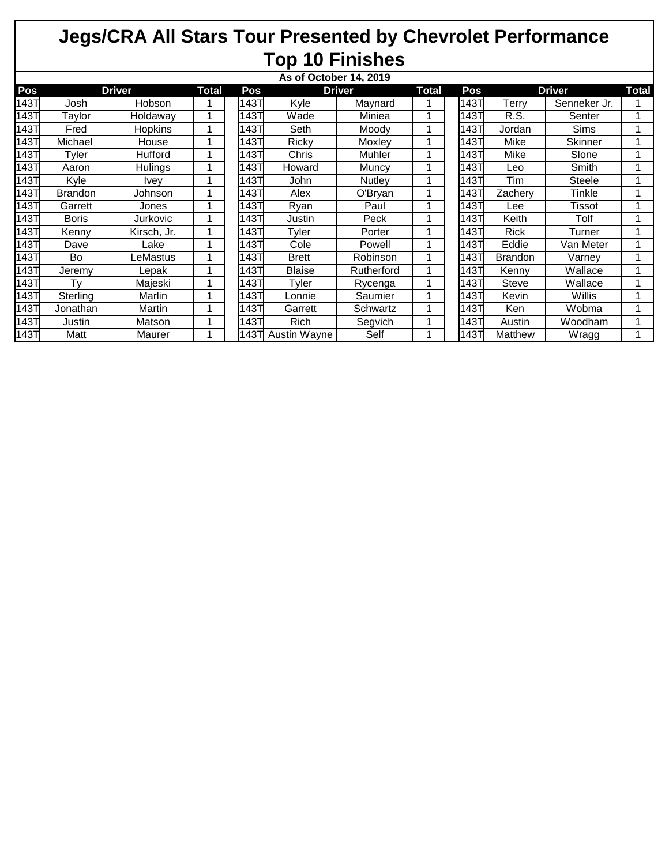| As of October 14, 2019 |                |                |  |       |                   |               |  |      |                |               |              |
|------------------------|----------------|----------------|--|-------|-------------------|---------------|--|------|----------------|---------------|--------------|
| Pos                    | <b>Driver</b>  |                |  | Pos   | <b>Driver</b>     |               |  | Pos  |                | <b>Driver</b> | <b>Total</b> |
| 143T                   | Josh           | Hobson         |  | 143Τ  | Kyle              | Maynard       |  | 143T | Terry          | Senneker Jr.  |              |
| 143T                   | Taylor         | Holdaway       |  | 143T  | Wade              | Miniea        |  | 143T | R.S.           | Senter        |              |
| 143T                   | Fred           | <b>Hopkins</b> |  | 143TI | Seth              | Moodv         |  | 143T | Jordan         | <b>Sims</b>   |              |
| 143T                   | Michael        | House          |  | 143T  | Ricky             | Moxley        |  | 1431 | Mike           | Skinner       |              |
| 143T                   | Tyler          | Hufford        |  | 143T  | Chris             | Muhler        |  | 143T | Mike           | Slone         |              |
| 143T                   | Aaron          | Hulings        |  | 143T  | Howard            | Muncy         |  | 143T | Leo            | Smith         |              |
| <b>143T</b>            | Kyle           | Ivev           |  | 143T  | John              | <b>Nutley</b> |  | 143T | Tim            | <b>Steele</b> |              |
| 143T                   | <b>Brandon</b> | Johnson        |  | 143T  | Alex              | O'Bryan       |  | 143T | Zacherv        | Tinkle        |              |
| 143T                   | Garrett        | Jones          |  | 143T  | Ryan              | Paul          |  | 143T | Lee            | Tissot        |              |
| 143T                   | <b>Boris</b>   | Jurkovic       |  | 143T  | Justin            | Peck          |  | 143T | Keith          | Tolf          |              |
| <b>143T</b>            | Kenny          | Kirsch, Jr.    |  | 143T  | Tyler             | Porter        |  | 143T | Rick           | Turner        |              |
| 143T                   | Dave           | Lake           |  | 143T  | Cole              | Powell        |  | 143T | Eddie          | Van Meter     |              |
| 143T                   | Bo             | LeMastus       |  | 143T  | <b>Brett</b>      | Robinson      |  | 143T | <b>Brandon</b> | Varney        |              |
| 143T                   | Jeremy         | Lepak          |  | 143T  | <b>Blaise</b>     | Rutherford    |  | 143T | Kenny          | Wallace       |              |
| 143T                   | Tv             | Majeski        |  | 143T  | Tyler             | Rycenga       |  | 143T | Steve          | Wallace       |              |
| 143T                   | Sterling       | Marlin         |  | 143Τ  | Lonnie            | Saumier       |  | 143T | Kevin          | Willis        |              |
| 143T                   | Jonathan       | Martin         |  | 143T  | Garrett           | Schwartz      |  | 143T | <b>Ken</b>     | Wobma         |              |
| 143T                   | Justin         | Matson         |  | 143T  | Rich              | Segvich       |  | 143T | Austin         | Woodham       |              |
| 143T                   | Matt           | Maurer         |  |       | 143T Austin Wayne | Self          |  | 143T | Matthew        | Wragg         |              |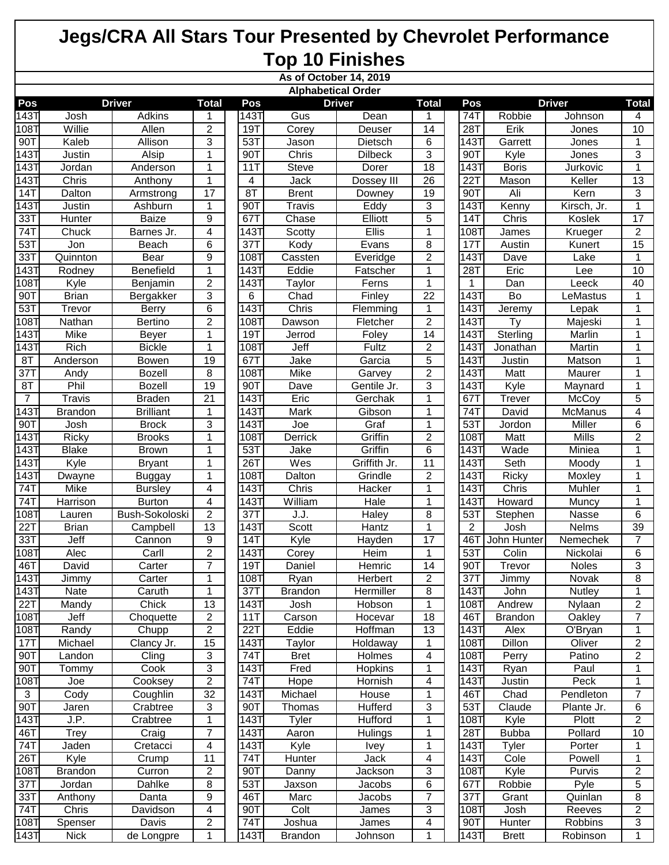|                           | As of October 14, 2019 |                  |                 |                 |                     |                |                 |                  |                      |               |                |  |
|---------------------------|------------------------|------------------|-----------------|-----------------|---------------------|----------------|-----------------|------------------|----------------------|---------------|----------------|--|
| <b>Alphabetical Order</b> |                        |                  |                 |                 |                     |                |                 |                  |                      |               |                |  |
| Pos                       |                        | <b>Driver</b>    | <b>Total</b>    | Pos             |                     | <b>Driver</b>  | <b>Total</b>    | Pos              |                      | <b>Driver</b> | <b>Total</b>   |  |
| 143                       | Josh                   | <b>Adkins</b>    |                 | 143T            | Gus                 | Dean           |                 | $\overline{74}$  | Robbie               | Johnson       | 4              |  |
| 108T                      | Willie                 | Allen            | $\overline{2}$  | <b>19T</b>      | Corey               | Deuser         | 14              | 28T              | Erik                 | Jones         | 10             |  |
| 90T                       | Kaleb                  | Allison          | 3               | 53T             | $\overline{J}$ ason | Dietsch        | 6               | 143T             | Garrett              | Jones         | 1              |  |
| 1431                      | Justin                 | Alsip            | 1               | 90T             | Chris               | <b>Dilbeck</b> | 3               | 90T              | Kyle                 | Jones         | 3              |  |
| $\overline{1}43$ T        | <b>Jordan</b>          | Anderson         | 1               | 11T             | <b>Steve</b>        | Dorer          | 18              | 143T             | <b>Boris</b>         | Jurkovic      | 1              |  |
| 143T                      | Chris                  | Anthony          | 1               | 4               | Jack                | Dossey III     | 26              | 22T              | Mason                | Keller        | 13             |  |
| <b>14T</b>                | Dalton                 | Armstrong        | 17              | 8T              | <b>Brent</b>        | Downey         | 19              | 90T              | Ali                  | Kern          | 3              |  |
| 143T                      | Justin                 | Ashburn          | 1               | 90T             | <b>Travis</b>       | Eddy           | 3               | 143T             | Kenny                | Kirsch, Jr.   | 1              |  |
| 33T                       | Hunter                 | Baize            | 9               | 67T             | Chase               | Elliott        | $\overline{5}$  | 14T              | Chris                | Koslek        | 17             |  |
| 74T                       | Chuck                  | Barnes Jr.       | 4               | 1431            | Scotty              | Ellis          | 1               | 108T             | James                | Krueger       | $\overline{2}$ |  |
| 53T                       | Jon                    | Beach            | 6               | $\overline{37}$ | Kody                | Evans          | 8               | 17T              | Austin               | Kunert        | 15             |  |
| 33T                       | Quinnton               | <b>Bear</b>      | 9               | 108T            | Cassten             | Everidge       | $\overline{2}$  | 143T             | <b>Dave</b>          | Lake          |                |  |
| 143T                      | Rodney                 | Benefield        | 1               | 1437            | Eddie               | Fatscher       | 1               | 28T              | Eric                 | Lee           | 10             |  |
| 108T                      | Kyle                   | Benjamin         | $\overline{2}$  | 1431            | Taylor              | Ferns          | 1               | $\mathbf 1$      | Dan                  | Leeck         | 40             |  |
| 90T                       | <b>Brian</b>           | Bergakker        | 3               | 6               | Chad                | Finley         | 22              | 143T             | Bo                   | LeMastus      |                |  |
| 53T                       | Trevor                 | Berry            | 6               | 143T            | Chris               | Flemming       | 1               | 143T             | Jeremy               | Lepak         | 1              |  |
| 108                       | <b>Nathan</b>          | <b>Bertino</b>   | $\overline{2}$  | 1087            | Dawson              | Fletcher       | $\overline{c}$  | 143T             | <b>Ty</b>            | Majeski       | 1              |  |
| <b>143T</b>               | Mike                   | <b>Beyer</b>     | 1               | 19T             | Jerrod              | Foley          | 14              | 143T             | Sterling             | Marlin        | 1              |  |
| 143T                      | <b>Rich</b>            | <b>Bickle</b>    | 1               | 108T            | Jeff                | Fultz          | $\overline{c}$  | 143T             | Jonathan             | Martin        | 1              |  |
| 8T                        | Anderson               | <b>Bowen</b>     | $\overline{19}$ | 67T             | Jake                | Garcia         | 5               | $\overline{143}$ | Justin               | Matson        | 1              |  |
| 37T                       | Andy                   | <b>Bozell</b>    | 8               | 1087            | Mike                | Garvey         | $\overline{c}$  | 143T             | Matt                 | Maurer        | 1              |  |
| 8T                        | Phil                   | <b>Bozell</b>    | 19              | 90T             | Dave                | Gentile Jr.    | 3               | 143T             | Kyle                 | Maynard       | 1              |  |
| $\overline{7}$            | <b>Travis</b>          | <b>Braden</b>    | 21              | 1431            | Eric                | Gerchak        | 1               | 67T              | <b>Trever</b>        | McCoy         | 5              |  |
| 143                       | <b>Brandon</b>         | <b>Brilliant</b> | 1               | 143T            | Mark                | Gibson         | 1               | 74T              | David                | McManus       | 4              |  |
| 90T                       | Josh                   | <b>Brock</b>     | 3               | 1431            | Joe                 | Graf           | 1               | 53T              | Jordon               | Miller        | 6              |  |
| 143T                      | Ricky                  | <b>Brooks</b>    | 1               | 1087            | Derrick             | Griffin        | $\overline{c}$  | 108T             | Matt                 | <b>Mills</b>  | $\overline{2}$ |  |
| 143T                      | <b>Blake</b>           | <b>Brown</b>     | 1               | 53T             | Jake                | Griffin        | 6               | <b>143T</b>      | Wade                 | Miniea        | 1              |  |
| $\overline{143}$          | Kyle                   | <b>Bryant</b>    | 1               | 26T             | Wes                 | Griffith Jr.   | $\overline{11}$ | 143T             | Seth                 | Moody         | 1              |  |
| $\overline{1}$ 43T        | Dwayne                 | <b>Buggay</b>    | 1               | 108T            | Dalton              | Grindle        | 2               | 143T             | Ricky                | Moxley        | 1              |  |
| 74T                       | Mike                   | <b>Bursley</b>   | 4               | 1431            | Chris               | Hacker         | 1               | 143T             | Chris                | Muhler        | 1              |  |
| 74T                       | Harrison               | <b>Burton</b>    | 4               | 143T            | William             | Hale           | 1               | 143T             | Howard               | Muncy         | 1              |  |
| 108T                      | Lauren                 | Bush-Sokoloski   | $\overline{2}$  | 37T             | J.J.                | Haley          | 8               | 53T              | Stephen              | Nasse         | 6              |  |
| 22T                       | <b>Brian</b>           | Campbell         | $\overline{13}$ | 143T            | Scott               | Hantz          | $\mathbf 1$     | $\overline{2}$   | Josh                 | Nelms         | 39             |  |
| 33T                       | Jeff                   | Cannon           | 9               | 14T             | Kyle                | Hayden         | 17              | 46T              | John Hunter          | Nemechek      | $\overline{7}$ |  |
| 108T                      | Alec                   | Carll            | $\overline{2}$  | 143T            | Corey               | Heim           | 1               | 53T              | Colin                | Nickolai      | 6              |  |
| 46T                       | David                  | Carter           | 7               | 19T             | Daniel              | <b>Hemric</b>  | 14              | 90T              | Trevor               | <b>Noles</b>  | 3              |  |
| 143T                      | Jimmy                  | Carter           | 1               | 108T            | Ryan                | Herbert        | $\mathbf 2$     | 37T              | Jimmy                | Novak         | 8              |  |
| 143T                      | Nate                   | Caruth           | 1               | 37T             | <b>Brandon</b>      | Hermiller      | 8               | 143T             | John                 | Nutley        | 1              |  |
| 22T                       | Mandy                  | Chick            | 13              | 143T            | Josh                | Hobson         | 1               | 108T             | Andrew               | Nylaan        | $\overline{2}$ |  |
| 108T                      | Jeff                   | Choquette        | $\overline{2}$  | 11T             | Carson              | Hocevar        | 18              | 46T              | <b>Brandon</b>       | Oakley        | $\overline{7}$ |  |
| 108T                      | Randy                  | Chupp            | $\overline{2}$  | 22T             | Eddie               | Hoffman        | 13              | 143T             | Alex                 | O'Bryan       | 1              |  |
| 17T                       | Michael                | Clancy Jr.       | 15              | 143T            | Taylor              | Holdaway       | 1               | 108T             | Dillon               | Oliver        | $\overline{2}$ |  |
| 90T                       | Landon                 | Cling            | $\sqrt{3}$      | 74T             | <b>Bret</b>         | Holmes         | 4               | 108T             | Perry                | Patino        | $\overline{c}$ |  |
| 90T                       | Tommy                  | Cook             | 3               | 143T            | Fred                | Hopkins        |                 | 143T             | Ryan                 | Paul          | 1              |  |
| $\overline{10}8$ T        | Joe                    | Cooksey          | $\overline{2}$  | 74T             | Hope                | Hornish        | 4               | 143T             | Justin               | Peck          |                |  |
| $\sqrt{3}$                | Cody                   | Coughlin         | 32              | 143T            | Michael             | House          | 1               | 46T              | Chad                 | Pendleton     | $\overline{7}$ |  |
| 90T                       | Jaren                  | Crabtree         | 3               | 90T             | Thomas              | <b>Hufferd</b> | 3               | 53T              | Claude               | Plante Jr.    | 6              |  |
| $\overline{14}3$ T        | J.P.                   | Crabtree         | 1               | 143T            |                     | Hufford        | 1               | 108T             |                      | Plott         | 2              |  |
| 46T                       | <b>Trey</b>            | Craig            | $\overline{7}$  | 143T            | <b>Tyler</b>        | Hulings        | 1               | 28T              | Kyle<br><b>Bubba</b> | Pollard       | 10             |  |
| 74T                       | Jaden                  |                  | 4               | 143T            | Aaron<br>Kyle       |                | 1               | 143T             | Tyler                | Porter        | 1              |  |
|                           |                        | Cretacci         | 11              | 74T             |                     | <b>Ivey</b>    |                 |                  |                      |               | 1              |  |
| 26T                       | Kyle                   | Crump            |                 |                 | Hunter              | Jack           | 4               | 143T             | Cole                 | Powell        |                |  |
| 108T                      | <b>Brandon</b>         | Curron           | $\overline{2}$  | 90T             | Danny               | <b>Jackson</b> | 3               | 108T             | Kyle                 | Purvis        | $\overline{2}$ |  |
| 37T                       | Jordan                 | Dahlke           | 8               | 53T             | Jaxson              | Jacobs         | 6               | 67T              | Robbie               | Pyle          | 5              |  |
| 33T                       | Anthony                | Danta            | 9               | 46T             | Marc                | Jacobs         | 7               | 37T              | Grant                | Quinlan       | 8              |  |
| 74T                       | Chris                  | Davidson         | 4               | 90T             | Colt                | James          | 3               | 108T             | Josh                 | Reeves        | 2              |  |
| 108T                      | Spenser                | Davis            | 2               | 74T             | Joshua              | James          | 4               | 90T              | Hunter               | Robbins       | 3              |  |
| $\overline{1}43$ T        | <b>Nick</b>            | de Longpre       | 1               | 143T            | <b>Brandon</b>      | Johnson        | 1               | 143T             | <b>Brett</b>         | Robinson      | $\mathbf{1}$   |  |